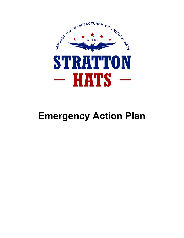

# **Emergency Action Plan**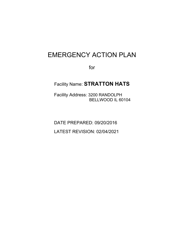# EMERGENCY ACTION PLAN

for

### Facility Name: **STRATTON HATS**

Facility Address: 3200 RANDOLPH BELLWOOD IL 60104

DATE PREPARED: 09/20/2016 LATEST REVISION: 02/04/2021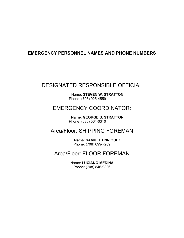### **EMERGENCY PERSONNEL NAMES AND PHONE NUMBERS**

### DESIGNATED RESPONSIBLE OFFICIAL

Name: **STEVEN W. STRATTON** Phone: (708) 925-4559

### EMERGENCY COORDINATOR:

Name: **GEORGE S. STRATTON** Phone: (630) 564-0310

### Area/Floor: SHIPPING FOREMAN

Name: **SAMUEL ENRIQUEZ** Phone: (708) 699-7269

### Area/Floor: FLOOR FOREMAN

Name: **LUCIANO MEDINA** Phone: (708) 846-9336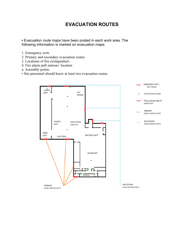### **EVACUATION ROUTES**

**•** Evacuation route maps have been posted in each work area. The following information is marked on evacuation maps:

- 1. Emergency exits
- 2. Primary and secondary evacuation routes
- 3. Locations of fire extinguishers
- 4. Fire alarm pull stations' location
- a. Assembly points
- Site personnel should know at least two evacuation routes.

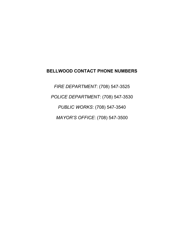### **BELLWOOD CONTACT PHONE NUMBERS**

*FIRE DEPARTMENT*: (708) 547-3525 *POLICE DEPARTMENT*: (708) 547-3530 *PUBLIC WORKS*: (708) 547-3540 *MAYOR'S OFFICE*: (708) 547-3500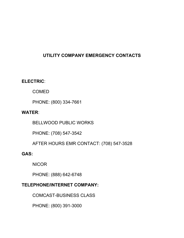### **UTILITY COMPANY EMERGENCY CONTACTS**

### **ELECTRIC**:

**COMED** 

PHONE: (800) 334-7661

### **WATER**:

BELLWOOD PUBLIC WORKS

PHONE: (708) 547-3542

AFTER HOURS EMR CONTACT: (708) 547-3528

### **GAS:**

**NICOR** 

PHONE: (888) 642-6748

### **TELEPHONE/INTERNET COMPANY:**

COMCAST-BUSINESS CLASS

PHONE: (800) 391-3000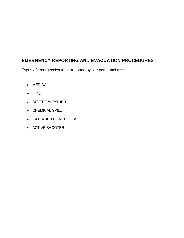### **EMERGENCY REPORTING AND EVACUATION PROCEDURES**

Types of emergencies to be reported by site personnel are:

- MEDICAL
- $\bullet$  FIRE
- SEVERE WEATHER
- CHEMICAL SPILL
- EXTENDED POWER LOSS
- **ACTIVE SHOOTER**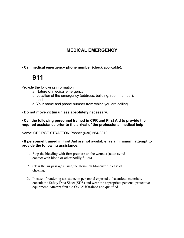### **MEDICAL EMERGENCY**

• **Call medical emergency phone number** (check applicable):

## **911**

Provide the following information:

- a. Nature of medical emergency,
- b. Location of the emergency (address, building, room number), and
- c. Your name and phone number from which you are calling.
- **Do not move victim unless absolutely necessary**.

#### • **Call the following personnel trained in CPR and First Aid to provide the required assistance prior to the arrival of the professional medical help**:

Name: GEORGE STRATTON Phone: (630) 564-0310

#### • **If personnel trained in First Aid are not available, as a minimum, attempt to provide the following assistance:**

- 1. Stop the bleeding with firm pressure on the wounds (note: avoid contact with blood or other bodily fluids).
- 2. Clear the air passages using the Heimlich Maneuver in case of choking.
- 3. In case of rendering assistance to personnel exposed to hazardous materials, consult the Safety Data Sheet (SDS) and wear the appropriate personal protective equipment. Attempt first aid ONLY if trained and qualified.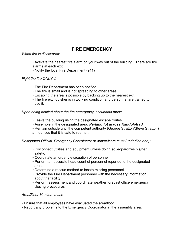### **FIRE EMERGENCY**

*When fire is discovered*:

• Activate the nearest fire alarm on your way out of the building. There are fire alarms at each exit

• Notify the local Fire Department (911)

*Fight the fire ONLY if:*

- The Fire Department has been notified.
- The fire is small and is not spreading to other areas.
- Escaping the area is possible by backing up to the nearest exit.
- The fire extinguisher is in working condition and personnel are trained to use it.

#### *Upon being notified about the fire emergency, occupants must:*

- Leave the building using the designated escape routes.
- Assemble in the designated area: *Parking lot across Randolph rd*

• Remain outside until the competent authority (George Stratton/Steve Stratton) announces that it is safe to reenter.

#### *Designated Official, Emergency Coordinator or supervisors must (underline one):*

- Disconnect utilities and equipment unless doing so jeopardizes his/her safety.
- Coordinate an orderly evacuation of personnel.
- Perform an accurate head count of personnel reported to the designated area.
- Determine a rescue method to locate missing personnel.
- Provide the Fire Department personnel with the necessary information about the facility.
- Perform assessment and coordinate weather forecast office emergency closing procedures

#### *Area/Floor Monitors must:*

- Ensure that all employees have evacuated the area/floor.
- Report any problems to the Emergency Coordinator at the assembly area.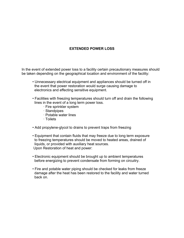#### **EXTENDED POWER LOSS**

In the event of extended power loss to a facility certain precautionary measures should be taken depending on the geographical location and environment of the facility:

- Unnecessary electrical equipment and appliances should be turned off in the event that power restoration would surge causing damage to electronics and effecting sensitive equipment.
- Facilities with freezing temperatures should turn off and drain the following lines in the event of a long term power loss.
	- · Fire sprinkler system
	- · Standpipes
	- · Potable water lines
	- · Toilets
- Add propylene-glycol to drains to prevent traps from freezing
- Equipment that contain fluids that may freeze due to long term exposure to freezing temperatures should be moved to heated areas, drained of liquids, or provided with auxiliary heat sources. Upon Restoration of heat and power:
- Electronic equipment should be brought up to ambient temperatures before energizing to prevent condensate from forming on circuitry.
- Fire and potable water piping should be checked for leaks from freeze damage after the heat has been restored to the facility and water turned back on.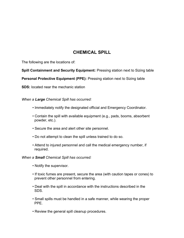### **CHEMICAL SPILL**

The following are the locations of:

**Spill Containment and Security Equipment:** Pressing station next to Sizing table

**Personal Protective Equipment (PPE):** Pressing station next to Sizing table

**SDS:** located near the mechanic station

*When a Large Chemical Spill has occurred:*

- Immediately notify the designated official and Emergency Coordinator.
- Contain the spill with available equipment (e.g., pads, booms, absorbent powder, etc.).
- Secure the area and alert other site personnel.
- Do not attempt to clean the spill unless trained to do so.
- Attend to injured personnel and call the medical emergency number, if required.

*When a Small Chemical Spill has occurred:*

- Notify the supervisor.
- If toxic fumes are present, secure the area (with caution tapes or cones) to prevent other personnel from entering.
- Deal with the spill in accordance with the instructions described in the SDS.
- Small spills must be handled in a safe manner, while wearing the proper PPE.
- Review the general spill cleanup procedures.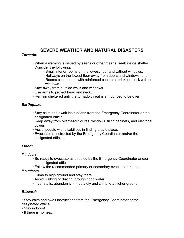### **SEVERE WEATHER AND NATURAL DISASTERS**

#### *Tornado:*

- When a warning is issued by sirens or other means, seek inside shelter. Consider the following:
	- Small interior rooms on the lowest floor and without windows,
	- Hallways on the lowest floor away from doors and windows, and
	- Rooms constructed with reinforced concrete, brick, or block with no windows.
- Stay away from outside walls and windows.
- Use arms to protect head and neck.
- Remain sheltered until the tornado threat is announced to be over.

#### *Earthquake:*

- Stay calm and await instructions from the Emergency Coordinator or the designated official.
- Keep away from overhead fixtures, windows, filing cabinets, and electrical power.
- Assist people with disabilities in finding a safe place.
- Evacuate as instructed by the Emergency Coordinator and/or the designated official.

#### *Flood:*

*If indoors*:

- Be ready to evacuate as directed by the Emergency Coordinator and/or the designated official.
- Follow the recommended primary or secondary evacuation routes.
- *If outdoors*:
	- Climb to high ground and stay there.
	- Avoid walking or driving through flood water.
	- If car stalls, abandon it immediately and climb to a higher ground.

#### *Blizzard:*

• Stay calm and await instructions from the Emergency Coordinator or the designated official.

- Stay indoors!
- If there is no heat: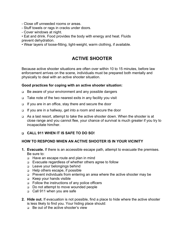- Close off unneeded rooms or areas.
- Stuff towels or rags in cracks under doors.
- Cover windows at night.
- Eat and drink. Food provides the body with energy and heat. Fluids prevent dehydration.
- Wear layers of loose-fitting, light-weight, warm clothing, if available.

### **ACTIVE SHOOTER**

Because active shooter situations are often over within 10 to 15 minutes, before law enforcement arrives on the scene, individuals must be prepared both mentally and physically to deal with an active shooter situation.

#### **Good practices for coping with an active shooter situation:**

- Be aware of your environment and any possible dangers
- Take note of the two nearest exits in any facility you visit
- □ If you are in an office, stay there and secure the door
- □ If you are in a hallway, get into a room and secure the door
- As a last resort, attempt to take the active shooter down. When the shooter is at close range and you cannot flee, your chance of survival is much greater if you try to incapacitate him/her.

#### **CALL 911 WHEN IT IS SAFE TO DO SO!**

#### **HOW TO RESPOND WHEN AN ACTIVE SHOOTER IS IN YOUR VICINITY**

- **1. Evacuate.** If there is an accessible escape path, attempt to evacuate the premises. Be sure to:
	- □ Have an escape route and plan in mind
	- Evacuate regardless of whether others agree to follow
	- □ Leave your belongings behind
	- □ Help others escape, if possible
	- Prevent individuals from entering an area where the active shooter may be
	- Keep your hands visible
	- Follow the instructions of any police officers
	- Do not attempt to move wounded people
	- Call 911 when you are safe
- **2. Hide out.** If evacuation is not possible, find a place to hide where the active shooter is less likely to find you. Your hiding place should:
	- □ Be out of the active shooter's view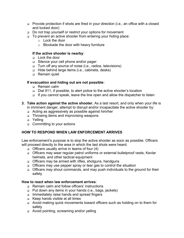- Provide protection if shots are fired in your direction (i.e., an office with a closed and locked door)
- □ Do not trap yourself or restrict your options for movement
- □ To prevent an active shooter from entering your hiding place:
	- o Lock the door
	- o Blockade the door with heavy furniture

#### **If the active shooter is nearby**:

- Lock the door
- Silence your cell phone and/or pager
- □ Turn off any source of noise (i.e., radios, televisions)
- Hide behind large items (i.e., cabinets, desks)
- □ Remain quiet

#### **If evacuation and hiding out are not possible**:

- Remain calm
- Dial 911, if possible, to alert police to the active shooter's location
- □ If you cannot speak, leave the line open and allow the dispatcher to listen
- **3. Take action against the active shooter.** As a last resort, and only when your life is in imminent danger, attempt to disrupt and/or incapacitate the active shooter by:
	- Acting as aggressively as possible against him/her
	- □ Throwing items and improvising weapons
	- n Yelling
	- □ Committing to your actions

#### **HOW TO RESPOND WHEN LAW ENFORCEMENT ARRIVES**

Law enforcement's purpose is to stop the active shooter as soon as possible. Officers will proceed directly to the area in which the last shots were heard.

- $\Box$  Officers usually arrive in teams of four (4)
- □ Officers may wear regular patrol uniforms or external bulletproof vests, Kevlar helmets, and other tactical equipment
- □ Officers may be armed with rifles, shotguns, handguns
- □ Officers may use pepper spray or tear gas to control the situation
- Officers may shout commands, and may push individuals to the ground for their safety

#### **How to react when law enforcement arrives**:

- □ Remain calm and follow officers' instructions
- □ Put down any items in your hands (i.e., bags, jackets)
- □ Immediately raise hands and spread fingers
- Keep hands visible at all times
- Avoid making quick movements toward officers such as holding on to them for safety
- Avoid pointing, screaming and/or yelling